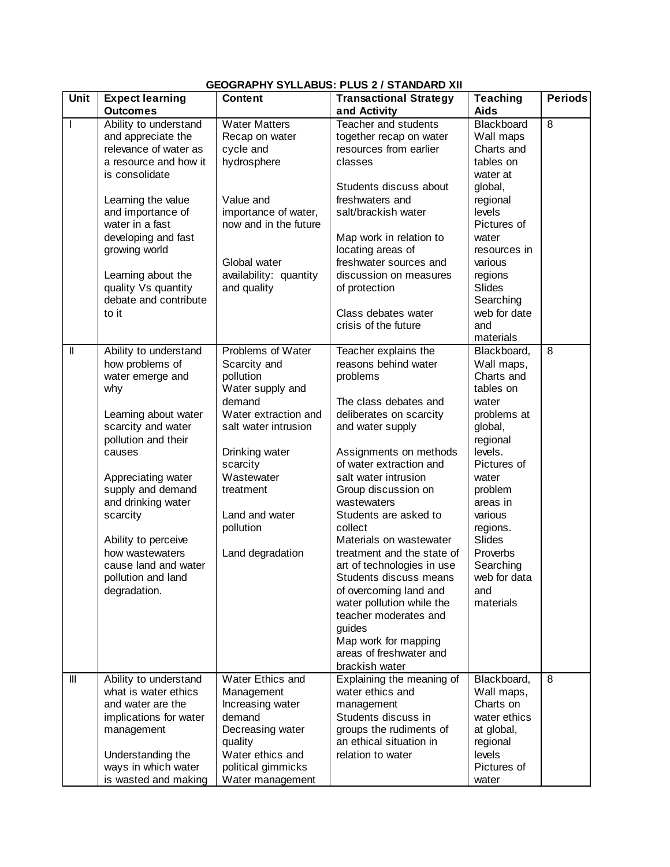## **GEOGRAPHY SYLLABUS: PLUS 2 / STANDARD XII**

| Unit           | <b>Expect learning</b>                       | <b>Content</b>                        | <b>Transactional Strategy</b>                      | <b>Teaching</b>   | <b>Periods</b> |
|----------------|----------------------------------------------|---------------------------------------|----------------------------------------------------|-------------------|----------------|
|                | <b>Outcomes</b>                              |                                       | and Activity                                       | <b>Aids</b>       |                |
| $\mathbf{I}$   | Ability to understand                        | <b>Water Matters</b>                  | Teacher and students                               | Blackboard        | 8              |
|                | and appreciate the                           | Recap on water                        | together recap on water                            | Wall maps         |                |
|                | relevance of water as                        | cycle and                             | resources from earlier                             | Charts and        |                |
|                | a resource and how it                        | hydrosphere                           | classes                                            | tables on         |                |
|                | is consolidate                               |                                       |                                                    | water at          |                |
|                |                                              |                                       | Students discuss about                             | global,           |                |
|                | Learning the value                           | Value and                             | freshwaters and                                    | regional          |                |
|                | and importance of                            | importance of water,                  | salt/brackish water                                | levels            |                |
|                | water in a fast                              | now and in the future                 |                                                    | Pictures of       |                |
|                | developing and fast                          |                                       | Map work in relation to                            | water             |                |
|                | growing world                                |                                       | locating areas of                                  | resources in      |                |
|                |                                              | Global water                          | freshwater sources and                             | various           |                |
|                | Learning about the                           | availability: quantity<br>and quality | discussion on measures                             | regions<br>Slides |                |
|                | quality Vs quantity<br>debate and contribute |                                       | of protection                                      | Searching         |                |
|                | to it                                        |                                       | Class debates water                                | web for date      |                |
|                |                                              |                                       | crisis of the future                               | and               |                |
|                |                                              |                                       |                                                    | materials         |                |
| $\mathop{  }$  | Ability to understand                        | Problems of Water                     | Teacher explains the                               | Blackboard,       | 8              |
|                | how problems of                              | Scarcity and                          | reasons behind water                               | Wall maps,        |                |
|                | water emerge and                             | pollution                             | problems                                           | Charts and        |                |
|                | why                                          | Water supply and                      |                                                    | tables on         |                |
|                |                                              | demand                                | The class debates and                              | water             |                |
|                | Learning about water                         | Water extraction and                  | deliberates on scarcity                            | problems at       |                |
|                | scarcity and water                           | salt water intrusion                  | and water supply                                   | global,           |                |
|                | pollution and their                          |                                       |                                                    | regional          |                |
|                | causes                                       | Drinking water                        | Assignments on methods                             | levels.           |                |
|                |                                              | scarcity                              | of water extraction and                            | Pictures of       |                |
|                | Appreciating water                           | Wastewater                            | salt water intrusion                               | water             |                |
|                | supply and demand                            | treatment                             | Group discussion on                                | problem           |                |
|                | and drinking water                           |                                       | wastewaters                                        | areas in          |                |
|                | scarcity                                     | Land and water                        | Students are asked to                              | various           |                |
|                |                                              | pollution                             | collect                                            | regions.          |                |
|                | Ability to perceive                          |                                       | Materials on wastewater                            | Slides            |                |
|                | how wastewaters                              | Land degradation                      | treatment and the state of                         | Proverbs          |                |
|                | cause land and water                         |                                       | art of technologies in use                         | Searching         |                |
|                | pollution and land                           |                                       | Students discuss means                             | web for data      |                |
|                | degradation.                                 |                                       | of overcoming land and                             | and<br>materials  |                |
|                |                                              |                                       | water pollution while the<br>teacher moderates and |                   |                |
|                |                                              |                                       | guides                                             |                   |                |
|                |                                              |                                       | Map work for mapping                               |                   |                |
|                |                                              |                                       | areas of freshwater and                            |                   |                |
|                |                                              |                                       | brackish water                                     |                   |                |
| $\mathbf{III}$ | Ability to understand                        | Water Ethics and                      | Explaining the meaning of                          | Blackboard,       | 8              |
|                | what is water ethics                         | Management                            | water ethics and                                   | Wall maps,        |                |
|                | and water are the                            | Increasing water                      | management                                         | Charts on         |                |
|                | implications for water                       | demand                                | Students discuss in                                | water ethics      |                |
|                | management                                   | Decreasing water                      | groups the rudiments of                            | at global,        |                |
|                |                                              | quality                               | an ethical situation in                            | regional          |                |
|                | Understanding the                            | Water ethics and                      | relation to water                                  | levels            |                |
|                | ways in which water                          | political gimmicks                    |                                                    | Pictures of       |                |
|                | is wasted and making                         | Water management                      |                                                    | water             |                |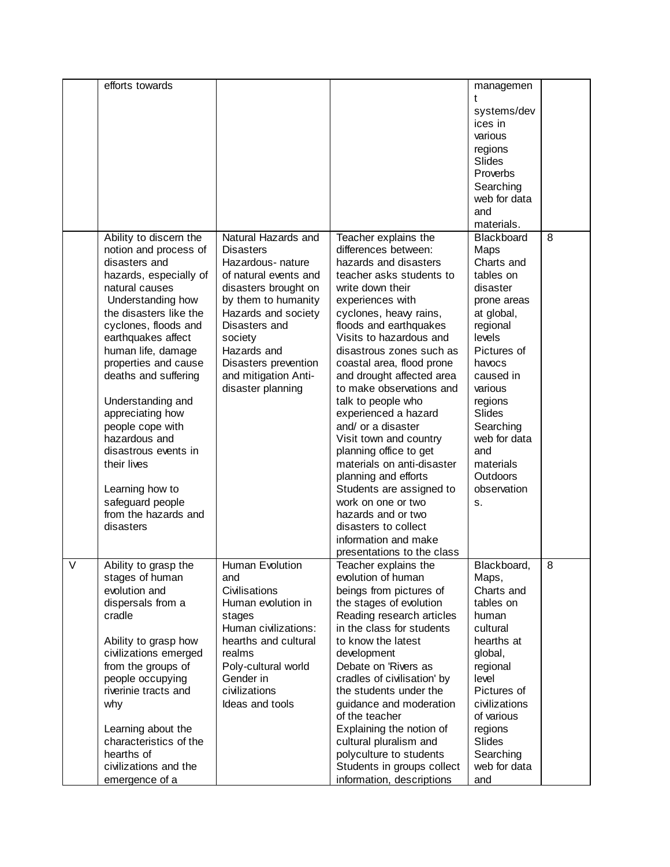|   | efforts towards        |                       |                             | managemen       |   |
|---|------------------------|-----------------------|-----------------------------|-----------------|---|
|   |                        |                       |                             |                 |   |
|   |                        |                       |                             | systems/dev     |   |
|   |                        |                       |                             | ices in         |   |
|   |                        |                       |                             | various         |   |
|   |                        |                       |                             |                 |   |
|   |                        |                       |                             | regions         |   |
|   |                        |                       |                             | Slides          |   |
|   |                        |                       |                             | Proverbs        |   |
|   |                        |                       |                             | Searching       |   |
|   |                        |                       |                             | web for data    |   |
|   |                        |                       |                             | and             |   |
|   |                        |                       |                             | materials.      |   |
|   | Ability to discern the | Natural Hazards and   | Teacher explains the        | Blackboard      | 8 |
|   | notion and process of  | <b>Disasters</b>      | differences between:        | Maps            |   |
|   | disasters and          | Hazardous- nature     | hazards and disasters       | Charts and      |   |
|   | hazards, especially of | of natural events and | teacher asks students to    | tables on       |   |
|   | natural causes         | disasters brought on  | write down their            | disaster        |   |
|   | Understanding how      | by them to humanity   | experiences with            | prone areas     |   |
|   | the disasters like the | Hazards and society   | cyclones, heavy rains,      | at global,      |   |
|   |                        | Disasters and         | floods and earthquakes      |                 |   |
|   | cyclones, floods and   |                       |                             | regional        |   |
|   | earthquakes affect     | society               | Visits to hazardous and     | levels          |   |
|   | human life, damage     | Hazards and           | disastrous zones such as    | Pictures of     |   |
|   | properties and cause   | Disasters prevention  | coastal area, flood prone   | havocs          |   |
|   | deaths and suffering   | and mitigation Anti-  | and drought affected area   | caused in       |   |
|   |                        | disaster planning     | to make observations and    | various         |   |
|   | Understanding and      |                       | talk to people who          | regions         |   |
|   | appreciating how       |                       | experienced a hazard        | Slides          |   |
|   | people cope with       |                       | and/ or a disaster          | Searching       |   |
|   | hazardous and          |                       | Visit town and country      | web for data    |   |
|   | disastrous events in   |                       | planning office to get      | and             |   |
|   | their lives            |                       | materials on anti-disaster  | materials       |   |
|   |                        |                       | planning and efforts        | <b>Outdoors</b> |   |
|   | Learning how to        |                       | Students are assigned to    | observation     |   |
|   | safeguard people       |                       | work on one or two          | s.              |   |
|   | from the hazards and   |                       | hazards and or two          |                 |   |
|   | disasters              |                       | disasters to collect        |                 |   |
|   |                        |                       | information and make        |                 |   |
|   |                        |                       | presentations to the class  |                 |   |
| V | Ability to grasp the   | Human Evolution       | Teacher explains the        | Blackboard      | 8 |
|   | stages of human        | and                   | evolution of human          | Maps,           |   |
|   | evolution and          | Civilisations         | beings from pictures of     | Charts and      |   |
|   | dispersals from a      | Human evolution in    | the stages of evolution     | tables on       |   |
|   | cradle                 |                       |                             | human           |   |
|   |                        | stages                | Reading research articles   |                 |   |
|   |                        | Human civilizations:  | in the class for students   | cultural        |   |
|   | Ability to grasp how   | hearths and cultural  | to know the latest          | hearths at      |   |
|   | civilizations emerged  | realms                | development                 | global,         |   |
|   | from the groups of     | Poly-cultural world   | Debate on 'Rivers as        | regional        |   |
|   | people occupying       | Gender in             | cradles of civilisation' by | level           |   |
|   | riverinie tracts and   | civilizations         | the students under the      | Pictures of     |   |
|   | why                    | Ideas and tools       | guidance and moderation     | civilizations   |   |
|   |                        |                       | of the teacher              | of various      |   |
|   | Learning about the     |                       | Explaining the notion of    | regions         |   |
|   | characteristics of the |                       | cultural pluralism and      | Slides          |   |
|   | hearths of             |                       | polyculture to students     | Searching       |   |
|   | civilizations and the  |                       | Students in groups collect  | web for data    |   |
|   | emergence of a         |                       | information, descriptions   | and             |   |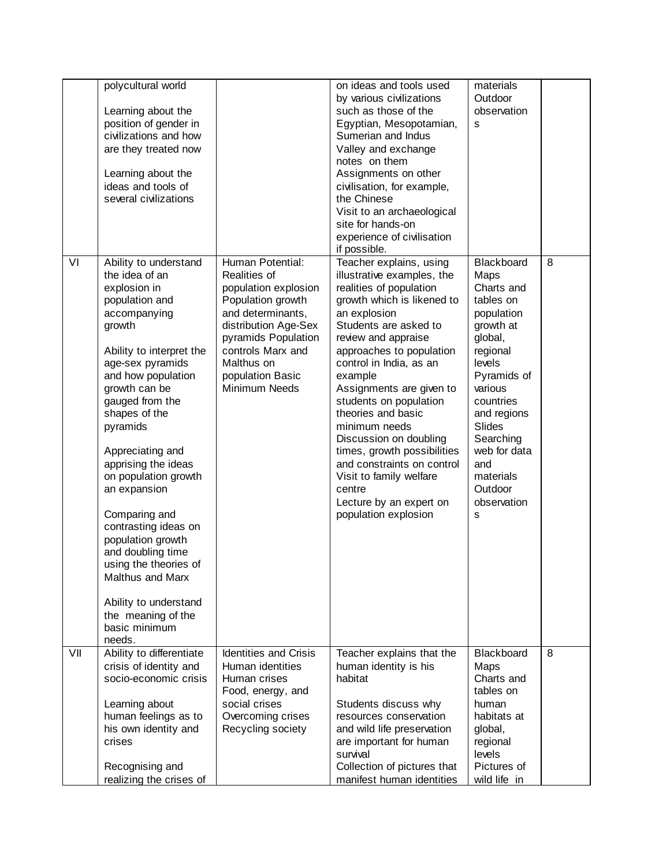|     | polycultural world       |                              | on ideas and tools used     | materials    |   |
|-----|--------------------------|------------------------------|-----------------------------|--------------|---|
|     |                          |                              | by various civilizations    | Outdoor      |   |
|     | Learning about the       |                              | such as those of the        | observation  |   |
|     | position of gender in    |                              | Egyptian, Mesopotamian,     | s            |   |
|     | civilizations and how    |                              | Sumerian and Indus          |              |   |
|     |                          |                              |                             |              |   |
|     | are they treated now     |                              | Valley and exchange         |              |   |
|     |                          |                              | notes on them               |              |   |
|     | Learning about the       |                              | Assignments on other        |              |   |
|     | ideas and tools of       |                              | civilisation, for example,  |              |   |
|     | several civilizations    |                              | the Chinese                 |              |   |
|     |                          |                              | Visit to an archaeological  |              |   |
|     |                          |                              | site for hands-on           |              |   |
|     |                          |                              | experience of civilisation  |              |   |
|     |                          |                              | if possible.                |              |   |
| VI  | Ability to understand    | Human Potential:             | Teacher explains, using     | Blackboard   | 8 |
|     | the idea of an           | Realities of                 | illustrative examples, the  | Maps         |   |
|     | explosion in             | population explosion         | realities of population     | Charts and   |   |
|     | population and           | Population growth            | growth which is likened to  | tables on    |   |
|     |                          | and determinants,            |                             |              |   |
|     | accompanying             |                              | an explosion                | population   |   |
|     | growth                   | distribution Age-Sex         | Students are asked to       | growth at    |   |
|     |                          | pyramids Population          | review and appraise         | global,      |   |
|     | Ability to interpret the | controls Marx and            | approaches to population    | regional     |   |
|     | age-sex pyramids         | Malthus on                   | control in India, as an     | levels       |   |
|     | and how population       | population Basic             | example                     | Pyramids of  |   |
|     | growth can be            | Minimum Needs                | Assignments are given to    | various      |   |
|     | gauged from the          |                              | students on population      | countries    |   |
|     | shapes of the            |                              | theories and basic          | and regions  |   |
|     | pyramids                 |                              | minimum needs               | Slides       |   |
|     |                          |                              | Discussion on doubling      | Searching    |   |
|     | Appreciating and         |                              | times, growth possibilities | web for data |   |
|     |                          |                              | and constraints on control  | and          |   |
|     | apprising the ideas      |                              |                             |              |   |
|     | on population growth     |                              | Visit to family welfare     | materials    |   |
|     | an expansion             |                              | centre                      | Outdoor      |   |
|     |                          |                              | Lecture by an expert on     | observation  |   |
|     | Comparing and            |                              | population explosion        | s            |   |
|     | contrasting ideas on     |                              |                             |              |   |
|     | population growth        |                              |                             |              |   |
|     | and doubling time        |                              |                             |              |   |
|     | using the theories of    |                              |                             |              |   |
|     | Malthus and Marx         |                              |                             |              |   |
|     |                          |                              |                             |              |   |
|     | Ability to understand    |                              |                             |              |   |
|     | the meaning of the       |                              |                             |              |   |
|     | basic minimum            |                              |                             |              |   |
|     | needs.                   |                              |                             |              |   |
| VII | Ability to differentiate | <b>Identities and Crisis</b> | Teacher explains that the   | Blackboard   | 8 |
|     |                          |                              |                             |              |   |
|     | crisis of identity and   | Human identities             | human identity is his       | Maps         |   |
|     | socio-economic crisis    | Human crises                 | habitat                     | Charts and   |   |
|     |                          | Food, energy, and            |                             | tables on    |   |
|     | Learning about           | social crises                | Students discuss why        | human        |   |
|     | human feelings as to     | Overcoming crises            | resources conservation      | habitats at  |   |
|     | his own identity and     | Recycling society            | and wild life preservation  | global,      |   |
|     | crises                   |                              | are important for human     | regional     |   |
|     |                          |                              | survival                    | levels       |   |
|     | Recognising and          |                              | Collection of pictures that | Pictures of  |   |
|     | realizing the crises of  |                              | manifest human identities   | wild life in |   |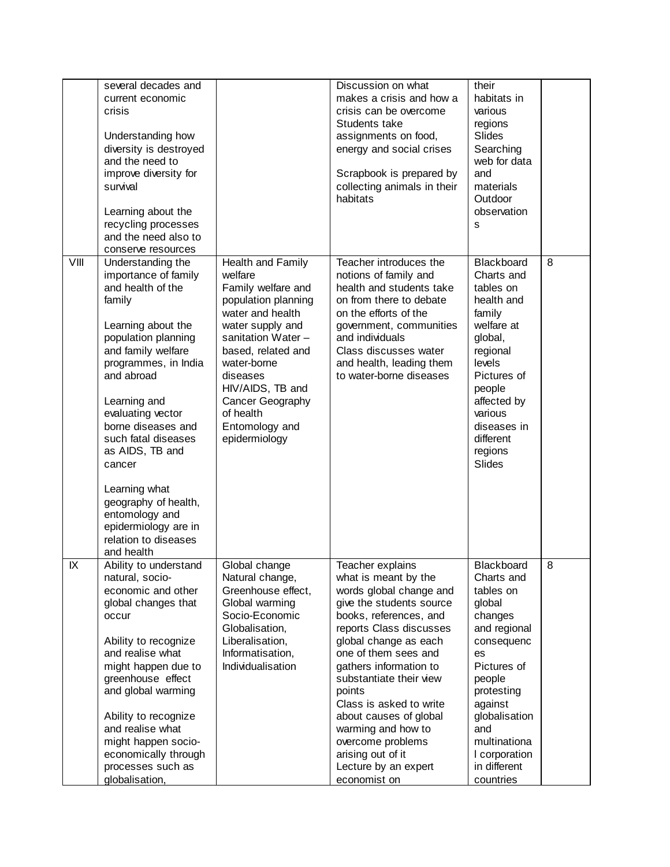|      | several decades and<br>current economic<br>crisis<br>Understanding how<br>diversity is destroyed<br>and the need to<br>improve diversity for<br>survival<br>Learning about the<br>recycling processes<br>and the need also to<br>conserve resources                                                                                                                                                         |                                                                                                                                                                                                                                                                                  | Discussion on what<br>makes a crisis and how a<br>crisis can be overcome<br>Students take<br>assignments on food,<br>energy and social crises<br>Scrapbook is prepared by<br>collecting animals in their<br>habitats                                                                                                                                                                                                              | their<br>habitats in<br>various<br>regions<br>Slides<br>Searching<br>web for data<br>and<br>materials<br>Outdoor<br>observation<br>S                                                                                                   |   |
|------|-------------------------------------------------------------------------------------------------------------------------------------------------------------------------------------------------------------------------------------------------------------------------------------------------------------------------------------------------------------------------------------------------------------|----------------------------------------------------------------------------------------------------------------------------------------------------------------------------------------------------------------------------------------------------------------------------------|-----------------------------------------------------------------------------------------------------------------------------------------------------------------------------------------------------------------------------------------------------------------------------------------------------------------------------------------------------------------------------------------------------------------------------------|----------------------------------------------------------------------------------------------------------------------------------------------------------------------------------------------------------------------------------------|---|
| VIII | Understanding the<br>importance of family<br>and health of the<br>family<br>Learning about the<br>population planning<br>and family welfare<br>programmes, in India<br>and abroad<br>Learning and<br>evaluating vector<br>borne diseases and<br>such fatal diseases<br>as AIDS, TB and<br>cancer<br>Learning what<br>geography of health,<br>entomology and<br>epidermiology are in<br>relation to diseases | Health and Family<br>welfare<br>Family welfare and<br>population planning<br>water and health<br>water supply and<br>sanitation Water -<br>based, related and<br>water-borne<br>diseases<br>HIV/AIDS, TB and<br>Cancer Geography<br>of health<br>Entomology and<br>epidermiology | Teacher introduces the<br>notions of family and<br>health and students take<br>on from there to debate<br>on the efforts of the<br>government, communities<br>and individuals<br>Class discusses water<br>and health, leading them<br>to water-borne diseases                                                                                                                                                                     | Blackboard<br>Charts and<br>tables on<br>health and<br>family<br>welfare at<br>global,<br>regional<br>levels<br>Pictures of<br>people<br>affected by<br>various<br>diseases in<br>different<br>regions<br>Slides                       | 8 |
| IX   | and health<br>Ability to understand<br>natural, socio-<br>economic and other<br>global changes that<br>occur<br>Ability to recognize<br>and realise what<br>might happen due to<br>greenhouse effect<br>and global warming<br>Ability to recognize<br>and realise what<br>might happen socio-<br>economically through<br>processes such as<br>globalisation,                                                | Global change<br>Natural change,<br>Greenhouse effect,<br>Global warming<br>Socio-Economic<br>Globalisation,<br>Liberalisation,<br>Informatisation,<br>Individualisation                                                                                                         | Teacher explains<br>what is meant by the<br>words global change and<br>give the students source<br>books, references, and<br>reports Class discusses<br>global change as each<br>one of them sees and<br>gathers information to<br>substantiate their view<br>points<br>Class is asked to write<br>about causes of global<br>warming and how to<br>overcome problems<br>arising out of it<br>Lecture by an expert<br>economist on | Blackboard<br>Charts and<br>tables on<br>global<br>changes<br>and regional<br>consequenc<br>es<br>Pictures of<br>people<br>protesting<br>against<br>globalisation<br>and<br>multinationa<br>I corporation<br>in different<br>countries | 8 |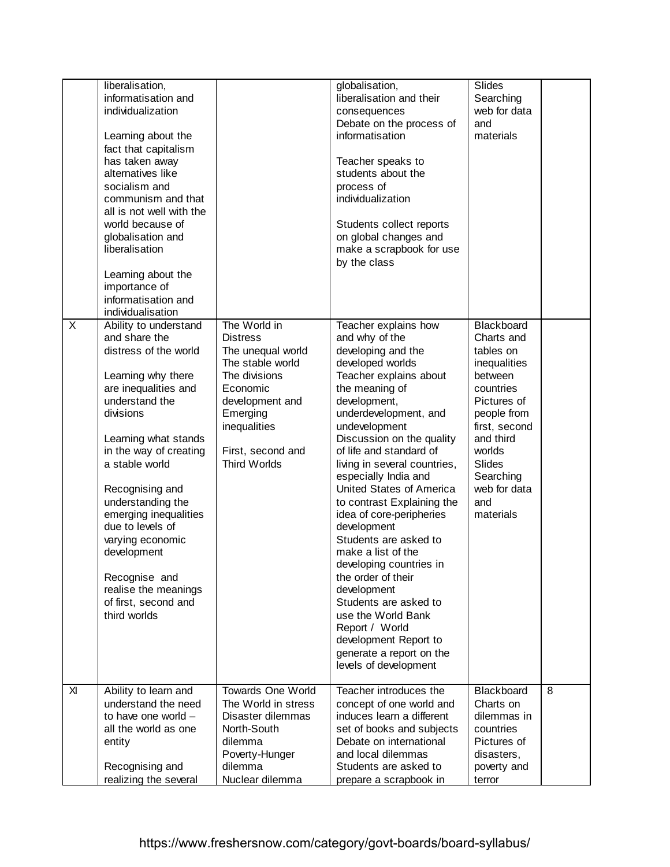| liberalisation,<br>informatisation and<br>individualization<br>Learning about the<br>fact that capitalism<br>has taken away<br>alternatives like<br>socialism and<br>communism and that<br>all is not well with the<br>world because of<br>globalisation and<br>liberalisation<br>Learning about the<br>importance of<br>informatisation and<br>individualisation                                                              |                                                                                                                                                                                           | globalisation,<br>liberalisation and their<br>consequences<br>Debate on the process of<br>informatisation<br>Teacher speaks to<br>students about the<br>process of<br>individualization<br>Students collect reports<br>on global changes and<br>make a scrapbook for use<br>by the class                                                                                                                                                                                                                                                                                                                                                                                  | Slides<br>Searching<br>web for data<br>and<br>materials                                                                                                                                                        |   |
|--------------------------------------------------------------------------------------------------------------------------------------------------------------------------------------------------------------------------------------------------------------------------------------------------------------------------------------------------------------------------------------------------------------------------------|-------------------------------------------------------------------------------------------------------------------------------------------------------------------------------------------|---------------------------------------------------------------------------------------------------------------------------------------------------------------------------------------------------------------------------------------------------------------------------------------------------------------------------------------------------------------------------------------------------------------------------------------------------------------------------------------------------------------------------------------------------------------------------------------------------------------------------------------------------------------------------|----------------------------------------------------------------------------------------------------------------------------------------------------------------------------------------------------------------|---|
| X<br>Ability to understand<br>and share the<br>distress of the world<br>Learning why there<br>are inequalities and<br>understand the<br>divisions<br>Learning what stands<br>in the way of creating<br>a stable world<br>Recognising and<br>understanding the<br>emerging inequalities<br>due to levels of<br>varying economic<br>development<br>Recognise and<br>realise the meanings<br>of first, second and<br>third worlds | The World in<br><b>Distress</b><br>The unequal world<br>The stable world<br>The divisions<br>Economic<br>development and<br>Emerging<br>inequalities<br>First, second and<br>Third Worlds | Teacher explains how<br>and why of the<br>developing and the<br>developed worlds<br>Teacher explains about<br>the meaning of<br>development,<br>underdevelopment, and<br>undevelopment<br>Discussion on the quality<br>of life and standard of<br>living in several countries,<br>especially India and<br>United States of America<br>to contrast Explaining the<br>idea of core-peripheries<br>development<br>Students are asked to<br>make a list of the<br>developing countries in<br>the order of their<br>development<br>Students are asked to<br>use the World Bank<br>Report / World<br>development Report to<br>generate a report on the<br>levels of development | Blackboard<br>Charts and<br>tables on<br>inequalities<br>between<br>countries<br>Pictures of<br>people from<br>first, second<br>and third<br>worlds<br>Slides<br>Searching<br>web for data<br>and<br>materials |   |
| X<br>Ability to learn and<br>understand the need<br>to have one world -<br>all the world as one<br>entity<br>Recognising and<br>realizing the several                                                                                                                                                                                                                                                                          | <b>Towards One World</b><br>The World in stress<br>Disaster dilemmas<br>North-South<br>dilemma<br>Poverty-Hunger<br>dilemma<br>Nuclear dilemma                                            | Teacher introduces the<br>concept of one world and<br>induces learn a different<br>set of books and subjects<br>Debate on international<br>and local dilemmas<br>Students are asked to<br>prepare a scrapbook in                                                                                                                                                                                                                                                                                                                                                                                                                                                          | Blackboard<br>Charts on<br>dilemmas in<br>countries<br>Pictures of<br>disasters,<br>poverty and<br>terror                                                                                                      | 8 |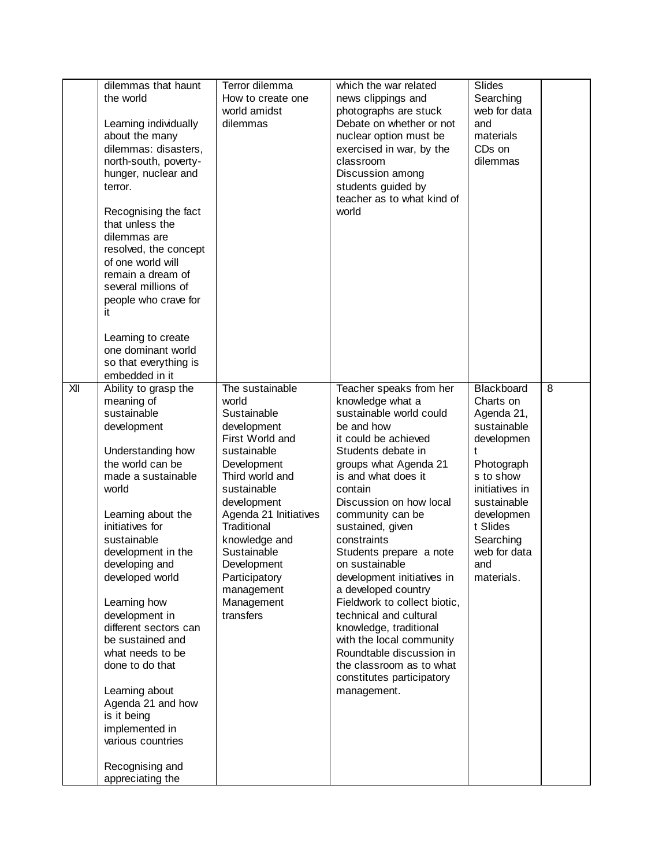| dilemmas that haunt<br>the world<br>Learning individually<br>about the many<br>dilemmas: disasters,<br>north-south, poverty-<br>hunger, nuclear and<br>terror.<br>Recognising the fact<br>that unless the<br>dilemmas are<br>resolved, the concept<br>of one world will<br>remain a dream of<br>several millions of<br>people who crave for<br>it<br>Learning to create<br>one dominant world<br>so that everything is<br>embedded in it                                                                                     | Terror dilemma<br>How to create one<br>world amidst<br>dilemmas                                                                                                                                                                                                                                           | which the war related<br>news clippings and<br>photographs are stuck<br>Debate on whether or not<br>nuclear option must be<br>exercised in war, by the<br>classroom<br>Discussion among<br>students guided by<br>teacher as to what kind of<br>world                                                                                                                                                                                                                                                                                                                                                  | Slides<br>Searching<br>web for data<br>and<br>materials<br>CD <sub>s</sub> on<br>dilemmas                                                                                                                       |   |
|------------------------------------------------------------------------------------------------------------------------------------------------------------------------------------------------------------------------------------------------------------------------------------------------------------------------------------------------------------------------------------------------------------------------------------------------------------------------------------------------------------------------------|-----------------------------------------------------------------------------------------------------------------------------------------------------------------------------------------------------------------------------------------------------------------------------------------------------------|-------------------------------------------------------------------------------------------------------------------------------------------------------------------------------------------------------------------------------------------------------------------------------------------------------------------------------------------------------------------------------------------------------------------------------------------------------------------------------------------------------------------------------------------------------------------------------------------------------|-----------------------------------------------------------------------------------------------------------------------------------------------------------------------------------------------------------------|---|
| XII<br>Ability to grasp the<br>meaning of<br>sustainable<br>development<br>Understanding how<br>the world can be<br>made a sustainable<br>world<br>Learning about the<br>initiatives for<br>sustainable<br>development in the<br>developing and<br>developed world<br>Learning how<br>development in<br>different sectors can<br>be sustained and<br>what needs to be<br>done to do that<br>Learning about<br>Agenda 21 and how<br>is it being<br>implemented in<br>various countries<br>Recognising and<br>appreciating the | The sustainable<br>world<br>Sustainable<br>development<br>First World and<br>sustainable<br>Development<br>Third world and<br>sustainable<br>development<br>Agenda 21 Initiatives<br>Traditional<br>knowledge and<br>Sustainable<br>Development<br>Participatory<br>management<br>Management<br>transfers | Teacher speaks from her<br>knowledge what a<br>sustainable world could<br>be and how<br>it could be achieved<br>Students debate in<br>groups what Agenda 21<br>is and what does it<br>contain<br>Discussion on how local<br>community can be<br>sustained, given<br>constraints<br>Students prepare a note<br>on sustainable<br>development initiatives in<br>a developed country<br>Fieldwork to collect biotic,<br>technical and cultural<br>knowledge, traditional<br>with the local community<br>Roundtable discussion in<br>the classroom as to what<br>constitutes participatory<br>management. | Blackboard<br>Charts on<br>Agenda 21,<br>sustainable<br>developmen<br>t<br>Photograph<br>s to show<br>initiatives in<br>sustainable<br>developmen<br>t Slides<br>Searching<br>web for data<br>and<br>materials. | 8 |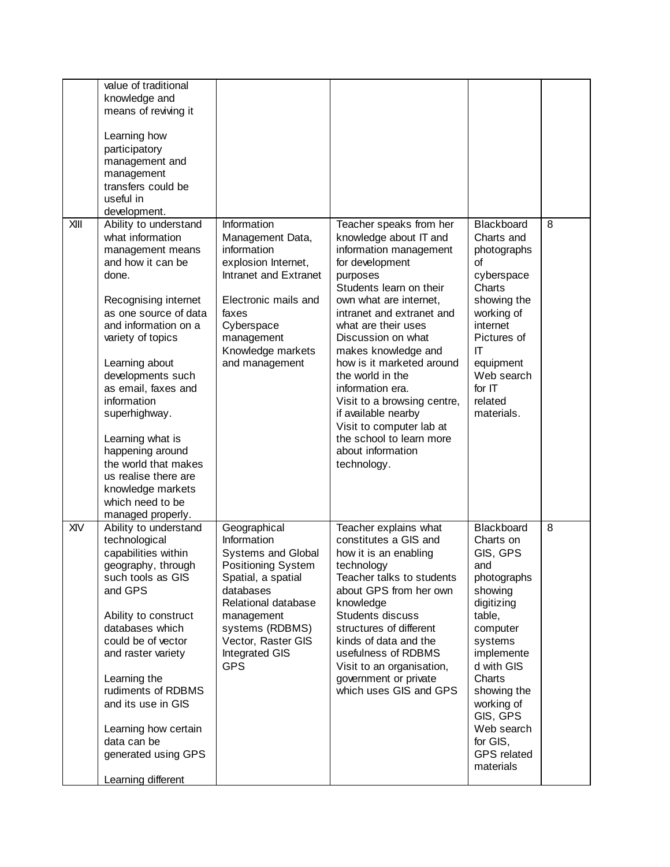|      | value of traditional<br>knowledge and<br>means of reviving it<br>Learning how<br>participatory<br>management and<br>management<br>transfers could be<br>useful in<br>development.                                                                                                                                                                          |                                                                                                                                                                                                                                        |                                                                                                                                                                                                                                                                                                                                                                                                                                                                                         |                                                                                                                                                                                                                                                                 |   |
|------|------------------------------------------------------------------------------------------------------------------------------------------------------------------------------------------------------------------------------------------------------------------------------------------------------------------------------------------------------------|----------------------------------------------------------------------------------------------------------------------------------------------------------------------------------------------------------------------------------------|-----------------------------------------------------------------------------------------------------------------------------------------------------------------------------------------------------------------------------------------------------------------------------------------------------------------------------------------------------------------------------------------------------------------------------------------------------------------------------------------|-----------------------------------------------------------------------------------------------------------------------------------------------------------------------------------------------------------------------------------------------------------------|---|
| XIII | Ability to understand<br>what information<br>management means<br>and how it can be<br>done.<br>Recognising internet<br>as one source of data<br>and information on a<br>variety of topics<br>Learning about<br>developments such<br>as email, faxes and<br>information<br>superhighway.<br>Learning what is<br>happening around<br>the world that makes    | Information<br>Management Data,<br>information<br>explosion Internet,<br>Intranet and Extranet<br>Electronic mails and<br>faxes<br>Cyberspace<br>management<br>Knowledge markets<br>and management                                     | Teacher speaks from her<br>knowledge about IT and<br>information management<br>for development<br>purposes<br>Students learn on their<br>own what are internet,<br>intranet and extranet and<br>what are their uses<br>Discussion on what<br>makes knowledge and<br>how is it marketed around<br>the world in the<br>information era.<br>Visit to a browsing centre,<br>if available nearby<br>Visit to computer lab at<br>the school to learn more<br>about information<br>technology. | <b>Blackboard</b><br>Charts and<br>photographs<br>οf<br>cyberspace<br>Charts<br>showing the<br>working of<br>internet<br>Pictures of<br>IT<br>equipment<br>Web search<br>for IT<br>related<br>materials.                                                        | 8 |
|      | us realise there are<br>knowledge markets<br>which need to be<br>managed properly.                                                                                                                                                                                                                                                                         |                                                                                                                                                                                                                                        |                                                                                                                                                                                                                                                                                                                                                                                                                                                                                         |                                                                                                                                                                                                                                                                 |   |
| XIV  | Ability to understand<br>technological<br>capabilities within<br>geography, through<br>such tools as GIS<br>and GPS<br>Ability to construct<br>databases which<br>could be of vector<br>and raster variety<br>Learning the<br>rudiments of RDBMS<br>and its use in GIS<br>Learning how certain<br>data can be<br>generated using GPS<br>Learning different | Geographical<br>Information<br><b>Systems and Global</b><br><b>Positioning System</b><br>Spatial, a spatial<br>databases<br>Relational database<br>management<br>systems (RDBMS)<br>Vector, Raster GIS<br>Integrated GIS<br><b>GPS</b> | Teacher explains what<br>constitutes a GIS and<br>how it is an enabling<br>technology<br>Teacher talks to students<br>about GPS from her own<br>knowledge<br>Students discuss<br>structures of different<br>kinds of data and the<br>usefulness of RDBMS<br>Visit to an organisation,<br>government or private<br>which uses GIS and GPS                                                                                                                                                | Blackboard<br>Charts on<br>GIS, GPS<br>and<br>photographs<br>showing<br>digitizing<br>table,<br>computer<br>systems<br>implemente<br>d with GIS<br>Charts<br>showing the<br>working of<br>GIS, GPS<br>Web search<br>for GIS,<br><b>GPS</b> related<br>materials | 8 |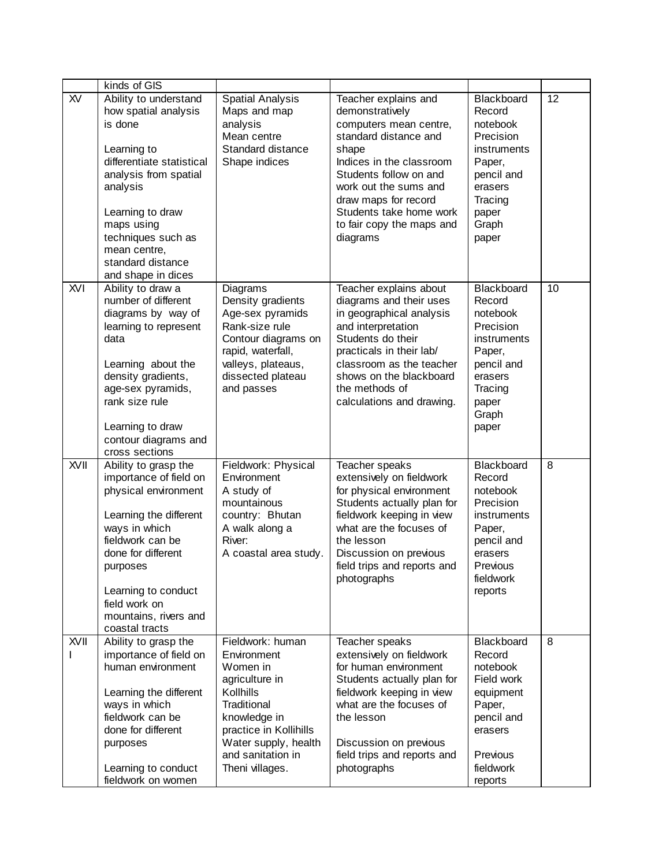|            | kinds of GIS                                                                                                                                                                                                                                                 |                                                                                                                                                                                                     |                                                                                                                                                                                                                                                                                |                                                                                                                                       |    |
|------------|--------------------------------------------------------------------------------------------------------------------------------------------------------------------------------------------------------------------------------------------------------------|-----------------------------------------------------------------------------------------------------------------------------------------------------------------------------------------------------|--------------------------------------------------------------------------------------------------------------------------------------------------------------------------------------------------------------------------------------------------------------------------------|---------------------------------------------------------------------------------------------------------------------------------------|----|
| <b>XV</b>  | Ability to understand<br>how spatial analysis<br>is done<br>Learning to<br>differentiate statistical<br>analysis from spatial<br>analysis<br>Learning to draw<br>maps using<br>techniques such as<br>mean centre,<br>standard distance<br>and shape in dices | <b>Spatial Analysis</b><br>Maps and map<br>analysis<br>Mean centre<br>Standard distance<br>Shape indices                                                                                            | Teacher explains and<br>demonstratively<br>computers mean centre,<br>standard distance and<br>shape<br>Indices in the classroom<br>Students follow on and<br>work out the sums and<br>draw maps for record<br>Students take home work<br>to fair copy the maps and<br>diagrams | Blackboard<br>Record<br>notebook<br>Precision<br>instruments<br>Paper,<br>pencil and<br>erasers<br>Tracing<br>paper<br>Graph<br>paper | 12 |
| <b>XVI</b> | Ability to draw a<br>number of different<br>diagrams by way of<br>learning to represent<br>data<br>Learning about the<br>density gradients,<br>age-sex pyramids,<br>rank size rule<br>Learning to draw<br>contour diagrams and<br>cross sections             | Diagrams<br>Density gradients<br>Age-sex pyramids<br>Rank-size rule<br>Contour diagrams on<br>rapid, waterfall,<br>valleys, plateaus,<br>dissected plateau<br>and passes                            | Teacher explains about<br>diagrams and their uses<br>in geographical analysis<br>and interpretation<br>Students do their<br>practicals in their lab/<br>classroom as the teacher<br>shows on the blackboard<br>the methods of<br>calculations and drawing.                     | Blackboard<br>Record<br>notebook<br>Precision<br>instruments<br>Paper,<br>pencil and<br>erasers<br>Tracing<br>paper<br>Graph<br>paper | 10 |
| XVII       | Ability to grasp the<br>importance of field on<br>physical environment<br>Learning the different<br>ways in which<br>fieldwork can be<br>done for different<br>purposes<br>Learning to conduct<br>field work on<br>mountains, rivers and<br>coastal tracts   | Fieldwork: Physical<br>Environment<br>A study of<br>mountainous<br>country: Bhutan<br>A walk along a<br>River:<br>A coastal area study.                                                             | Teacher speaks<br>extensively on fieldwork<br>for physical environment<br>Students actually plan for<br>fieldwork keeping in view<br>what are the focuses of<br>the lesson<br>Discussion on previous<br>field trips and reports and<br>photographs                             | Blackboard<br>Record<br>notebook<br>Precision<br>instruments<br>Paper,<br>pencil and<br>erasers<br>Previous<br>fieldwork<br>reports   | 8  |
| XVII       | Ability to grasp the<br>importance of field on<br>human environment<br>Learning the different<br>ways in which<br>fieldwork can be<br>done for different<br>purposes<br>Learning to conduct<br>fieldwork on women                                            | Fieldwork: human<br>Environment<br>Women in<br>agriculture in<br>Kollhills<br>Traditional<br>knowledge in<br>practice in Kollihills<br>Water supply, health<br>and sanitation in<br>Theni villages. | Teacher speaks<br>extensively on fieldwork<br>for human environment<br>Students actually plan for<br>fieldwork keeping in view<br>what are the focuses of<br>the lesson<br>Discussion on previous<br>field trips and reports and<br>photographs                                | Blackboard<br>Record<br>notebook<br>Field work<br>equipment<br>Paper,<br>pencil and<br>erasers<br>Previous<br>fieldwork<br>reports    | 8  |